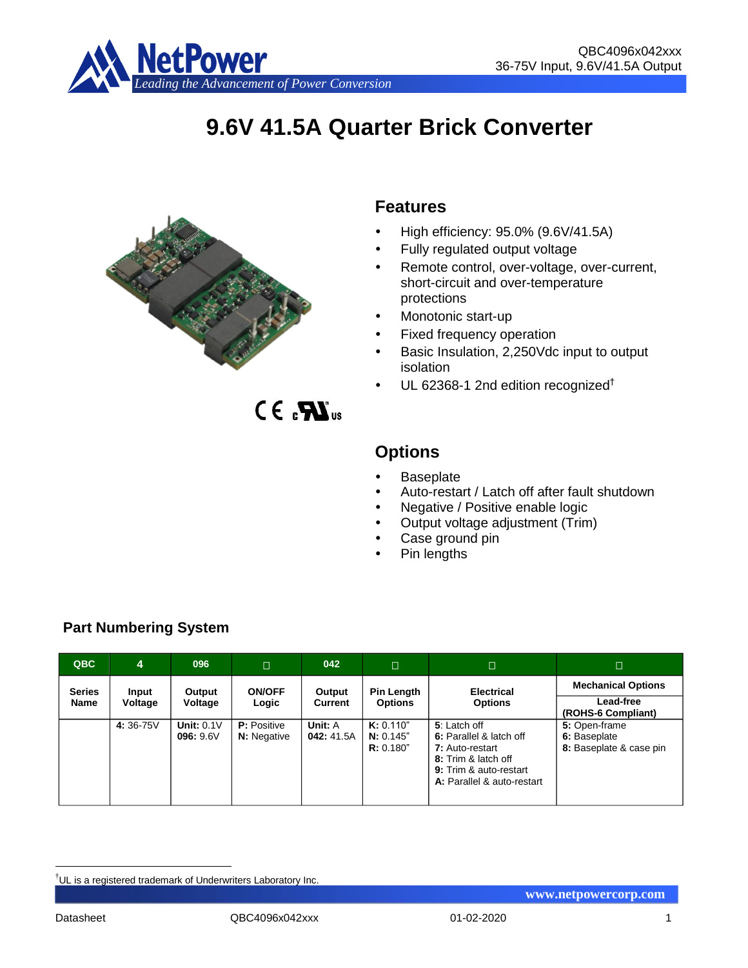

# **9.6V 41.5A Quarter Brick Converter**



# **Features**

- High efficiency: 95.0% (9.6V/41.5A)
- Fully regulated output voltage
- Remote control, over-voltage, over-current, short-circuit and over-temperature protections
- Monotonic start-up
- Fixed frequency operation
- Basic Insulation, 2,250Vdc input to output isolation
- UL 62368-1 2nd edition recognized†

 $CE_{\alpha}$  $\mathbf{M}_{\text{us}}$ 

# **Options**

- **Baseplate**
- Auto-restart / Latch off after fault shutdown
- Negative / Positive enable logic
- Output voltage adjustment (Trim)
- Case ground pin
- Pin lengths

| QBC           | 4        | 096                      | $\Box$                                   | 042                   | Π                                   | $\Box$                                                                                                                                    | IП,                                                      |
|---------------|----------|--------------------------|------------------------------------------|-----------------------|-------------------------------------|-------------------------------------------------------------------------------------------------------------------------------------------|----------------------------------------------------------|
| <b>Series</b> | Input    | Output                   | <b>ON/OFF</b>                            | Output                | <b>Pin Length</b>                   | <b>Electrical</b>                                                                                                                         | <b>Mechanical Options</b>                                |
| Name          | Voltage  | Voltage                  | Logic                                    | <b>Current</b>        | <b>Options</b>                      | <b>Options</b>                                                                                                                            | Lead-free<br>(ROHS-6 Compliant)                          |
|               | 4:36-75V | Unit: $0.1V$<br>096:9.6V | <b>P:</b> Positive<br><b>N:</b> Negative | Unit: A<br>042: 41.5A | K: 0.110"<br>N: 0.145"<br>R: 0.180" | 5: Latch off<br>6: Parallel & latch off<br>7: Auto-restart<br>8: Trim & latch off<br>9: Trim & auto-restart<br>A: Parallel & auto-restart | 5: Open-frame<br>6: Baseplate<br>8: Baseplate & case pin |

# **Part Numbering System**

<u>.</u>

<sup>†</sup>UL is a registered trademark of Underwriters Laboratory Inc.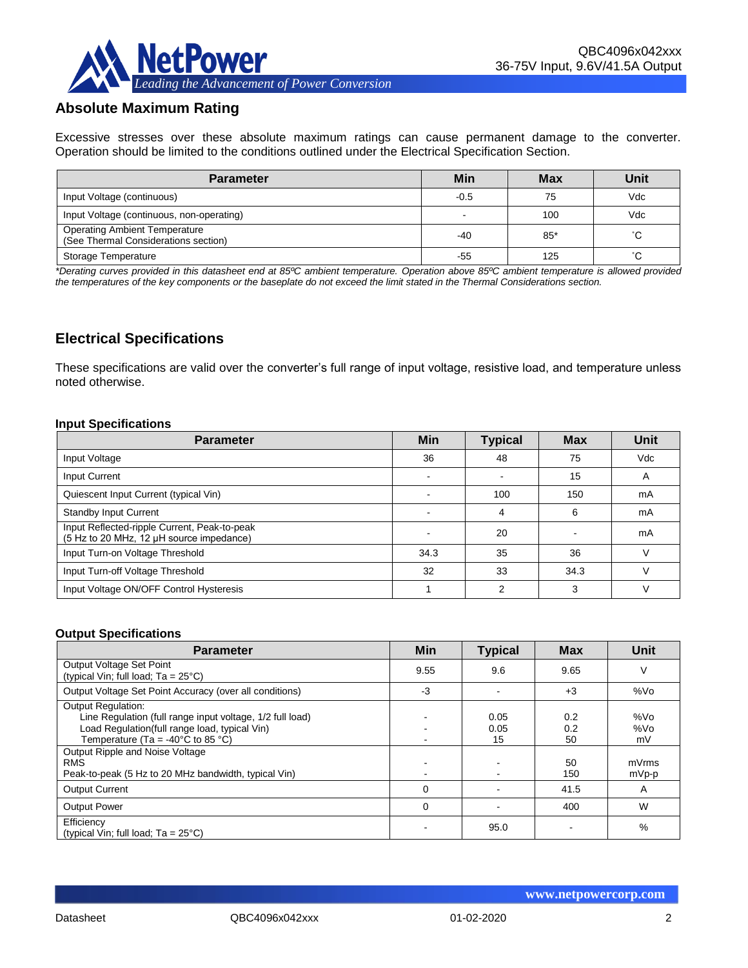

# **Absolute Maximum Rating**

Excessive stresses over these absolute maximum ratings can cause permanent damage to the converter. Operation should be limited to the conditions outlined under the Electrical Specification Section.

| <b>Parameter</b>                                                             | Min    | <b>Max</b> | Unit |
|------------------------------------------------------------------------------|--------|------------|------|
| Input Voltage (continuous)                                                   | $-0.5$ | 75         | Vdc  |
| Input Voltage (continuous, non-operating)                                    |        | 100        | Vdc  |
| <b>Operating Ambient Temperature</b><br>(See Thermal Considerations section) | $-40$  | 85*        | °С   |
| Storage Temperature                                                          | -55    | 125        | °C.  |

*\*Derating curves provided in this datasheet end at 85ºC ambient temperature. Operation above 85ºC ambient temperature is allowed provided the temperatures of the key components or the baseplate do not exceed the limit stated in the Thermal Considerations section.*

# **Electrical Specifications**

These specifications are valid over the converter's full range of input voltage, resistive load, and temperature unless noted otherwise.

#### **Input Specifications**

| <b>Parameter</b>                                                                         | Min  | <b>Typical</b> | <b>Max</b> | Unit |
|------------------------------------------------------------------------------------------|------|----------------|------------|------|
| Input Voltage                                                                            | 36   | 48             | 75         | Vdc  |
| Input Current                                                                            |      |                | 15         | A    |
| Quiescent Input Current (typical Vin)                                                    |      | 100            | 150        | mA   |
| <b>Standby Input Current</b>                                                             |      | 4              | 6          | mA   |
| Input Reflected-ripple Current, Peak-to-peak<br>(5 Hz to 20 MHz, 12 µH source impedance) |      | 20             |            | mA   |
| Input Turn-on Voltage Threshold                                                          | 34.3 | 35             | 36         |      |
| Input Turn-off Voltage Threshold                                                         | 32   | 33             | 34.3       |      |
| Input Voltage ON/OFF Control Hysteresis                                                  |      | ◠              | 3          |      |

#### **Output Specifications**

| <b>Parameter</b>                                                                                                                                                                                                                                                                                           | <b>Min</b>  | <b>Typical</b>     | <b>Max</b>                    | Unit                               |
|------------------------------------------------------------------------------------------------------------------------------------------------------------------------------------------------------------------------------------------------------------------------------------------------------------|-------------|--------------------|-------------------------------|------------------------------------|
| Output Voltage Set Point<br>(typical Vin; full load; $Ta = 25^{\circ}C$ )                                                                                                                                                                                                                                  | 9.55        | 9.6                | 9.65                          | V                                  |
| Output Voltage Set Point Accuracy (over all conditions)                                                                                                                                                                                                                                                    | -3          |                    | $+3$                          | %Vo                                |
| <b>Output Regulation:</b><br>Line Regulation (full range input voltage, 1/2 full load)<br>Load Regulation(full range load, typical Vin)<br>Temperature (Ta = -40 $^{\circ}$ C to 85 $^{\circ}$ C)<br>Output Ripple and Noise Voltage<br><b>RMS</b><br>Peak-to-peak (5 Hz to 20 MHz bandwidth, typical Vin) |             | 0.05<br>0.05<br>15 | 0.2<br>0.2<br>50<br>50<br>150 | %Vo<br>%Vo<br>mV<br>mVrms<br>mVp-p |
| <b>Output Current</b>                                                                                                                                                                                                                                                                                      | 0           |                    | 41.5                          | A                                  |
| <b>Output Power</b>                                                                                                                                                                                                                                                                                        | $\mathbf 0$ |                    | 400                           | W                                  |
| Efficiency<br>(typical Vin; full load; $Ta = 25^{\circ}C$ )                                                                                                                                                                                                                                                |             | 95.0               |                               | %                                  |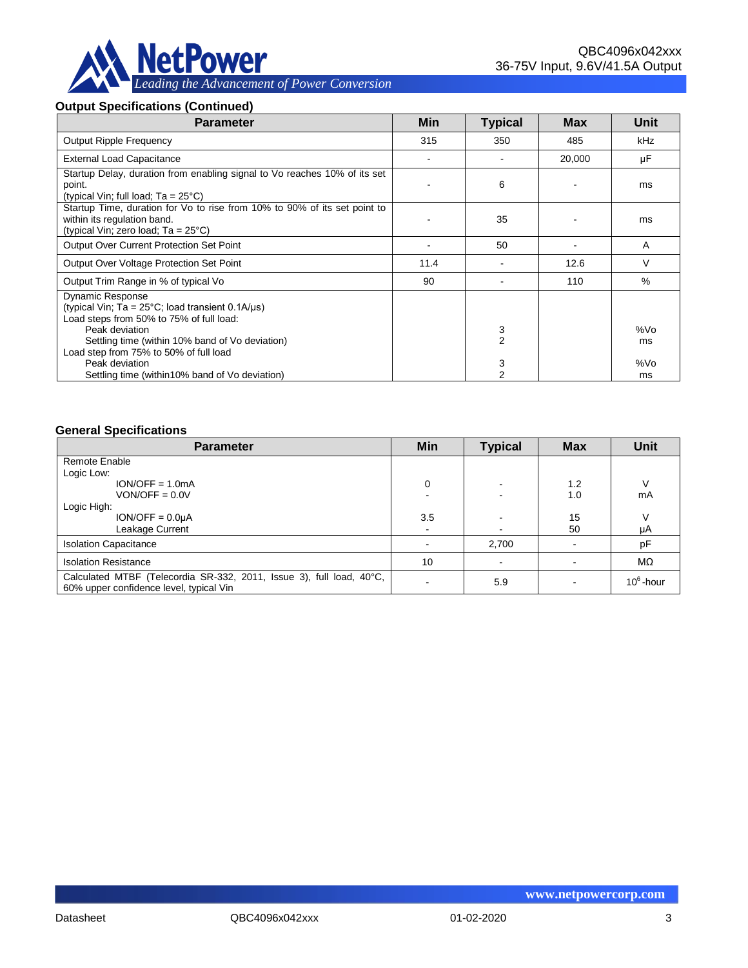

# **Output Specifications (Continued)**

| <b>Parameter</b>                                                                                                                                          | Min  | <b>Typical</b>      | Max    | Unit      |
|-----------------------------------------------------------------------------------------------------------------------------------------------------------|------|---------------------|--------|-----------|
| <b>Output Ripple Frequency</b>                                                                                                                            | 315  | 350                 | 485    | kHz       |
| <b>External Load Capacitance</b>                                                                                                                          |      |                     | 20,000 | μF        |
| Startup Delay, duration from enabling signal to Vo reaches 10% of its set<br>point.<br>(typical Vin; full load; $Ta = 25^{\circ}C$ )                      |      | 6                   |        | ms        |
| Startup Time, duration for Vo to rise from 10% to 90% of its set point to<br>within its regulation band.<br>(typical Vin; zero load; $Ta = 25^{\circ}C$ ) |      | 35                  |        | ms        |
| <b>Output Over Current Protection Set Point</b>                                                                                                           |      | 50                  |        | A         |
| Output Over Voltage Protection Set Point                                                                                                                  | 11.4 |                     | 12.6   | $\vee$    |
| Output Trim Range in % of typical Vo                                                                                                                      | 90   |                     | 110    | $\%$      |
| <b>Dynamic Response</b><br>(typical Vin: $Ta = 25^{\circ}C$ ; load transient 0.1A/us)<br>Load steps from 50% to 75% of full load:                         |      |                     |        |           |
| Peak deviation<br>Settling time (within 10% band of Vo deviation)<br>Load step from 75% to 50% of full load                                               |      | 3<br>$\overline{2}$ |        | %Vo<br>ms |
| Peak deviation<br>Settling time (within 10% band of Vo deviation)                                                                                         |      | 3<br>2              |        | %Vo<br>ms |

#### **General Specifications**

| <b>Parameter</b>                                                                                                | Min | <b>Typical</b> | <b>Max</b> | <b>Unit</b>  |
|-----------------------------------------------------------------------------------------------------------------|-----|----------------|------------|--------------|
| Remote Enable                                                                                                   |     |                |            |              |
| Logic Low:                                                                                                      |     |                |            |              |
| $ION/OFF = 1.0mA$                                                                                               | 0   |                | 1.2        | ν            |
| $VON/OFF = 0.0V$                                                                                                |     |                | 1.0        | mA           |
| Logic High:                                                                                                     |     |                |            |              |
| $ION/OFF = 0.0µA$                                                                                               | 3.5 |                | 15         | V            |
| Leakage Current                                                                                                 |     |                | 50         | μA           |
| <b>Isolation Capacitance</b>                                                                                    |     | 2,700          |            | pF           |
| <b>Isolation Resistance</b>                                                                                     | 10  |                |            | $M\Omega$    |
| Calculated MTBF (Telecordia SR-332, 2011, Issue 3), full load, 40°C,<br>60% upper confidence level, typical Vin |     | 5.9            |            | $10^6$ -hour |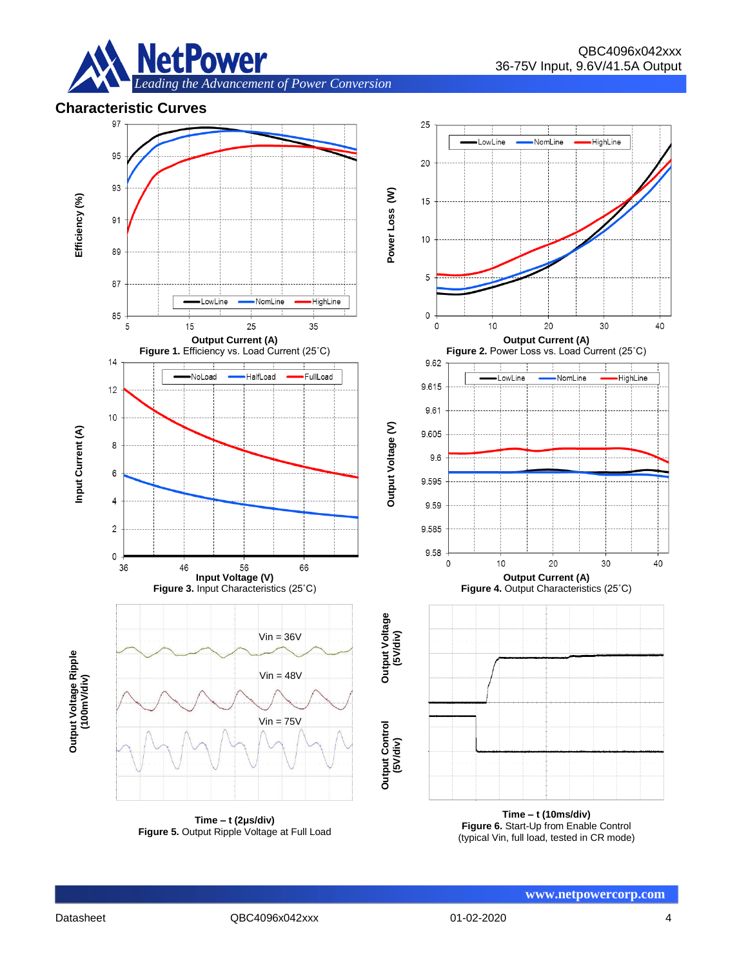

# **Characteristic Curves**



**Time – t (2μs/div) Figure 5.** Output Ripple Voltage at Full Load

**Time – t (10ms/div) Figure 6.** Start-Up from Enable Control (typical Vin, full load, tested in CR mode)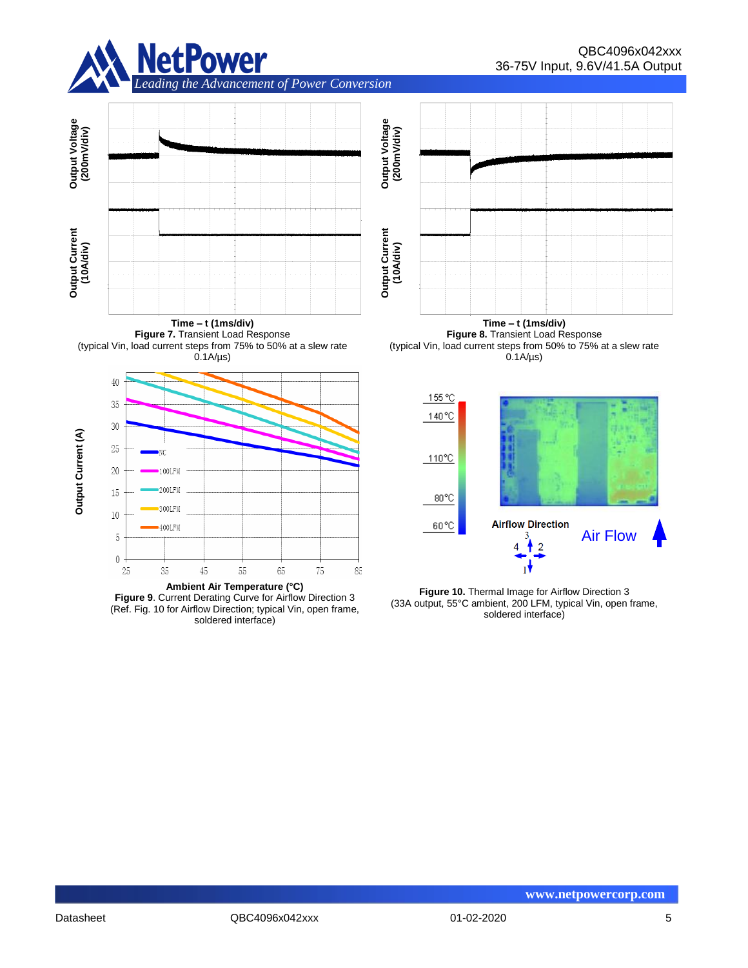



**Time – t (1ms/div) Figure 7.** Transient Load Response (typical Vin, load current steps from 75% to 50% at a slew rate  $0.1A/\mu s$ 



**Figure 9**. Current Derating Curve for Airflow Direction 3 (Ref. Fig. 10 for Airflow Direction; typical Vin, open frame, soldered interface)

**Time – t (1ms/div) Figure 8.** Transient Load Response (typical Vin, load current steps from 50% to 75% at a slew rate  $0.1A/\mu s$ 



**Figure 10.** Thermal Image for Airflow Direction 3 (33A output, 55°C ambient, 200 LFM, typical Vin, open frame, soldered interface)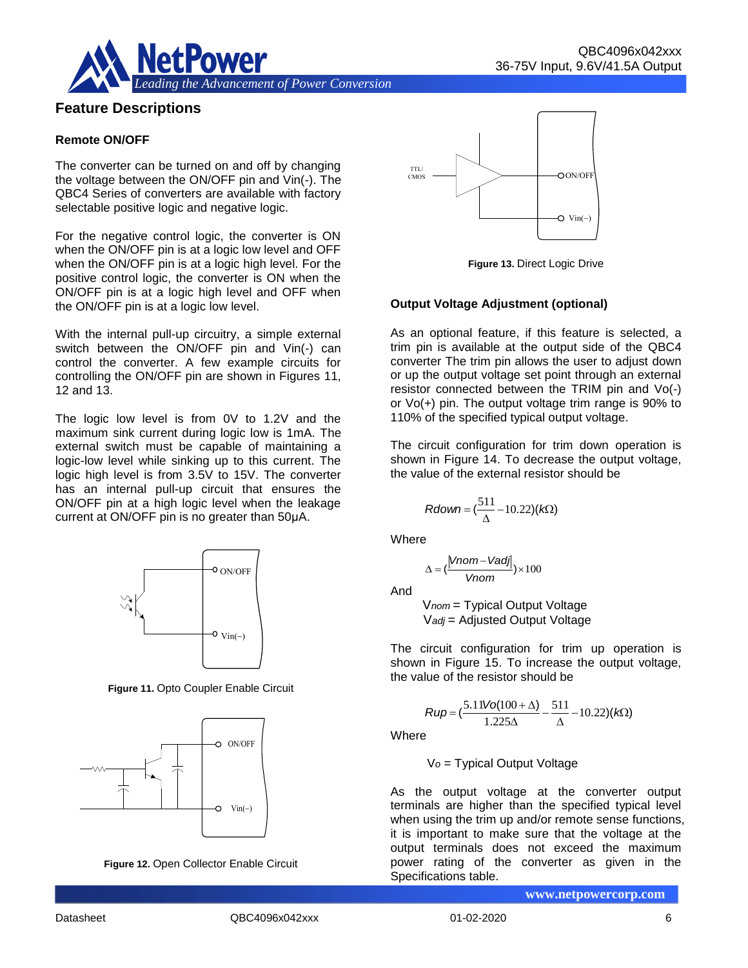



## **Feature Descriptions**

#### **Remote ON/OFF**

The converter can be turned on and off by changing the voltage between the ON/OFF pin and Vin(-). The QBC4 Series of converters are available with factory selectable positive logic and negative logic.

For the negative control logic, the converter is ON when the ON/OFF pin is at a logic low level and OFF when the ON/OFF pin is at a logic high level. For the positive control logic, the converter is ON when the ON/OFF pin is at a logic high level and OFF when the ON/OFF pin is at a logic low level.

With the internal pull-up circuitry, a simple external switch between the ON/OFF pin and Vin(-) can control the converter. A few example circuits for controlling the ON/OFF pin are shown in Figures 11, 12 and 13.

The logic low level is from 0V to 1.2V and the maximum sink current during logic low is 1mA. The external switch must be capable of maintaining a logic-low level while sinking up to this current. The logic high level is from 3.5V to 15V. The converter has an internal pull-up circuit that ensures the ON/OFF pin at a high logic level when the leakage current at ON/OFF pin is no greater than 50μA.



**Figure 11.** Opto Coupler Enable Circuit







**Figure 13.** Direct Logic Drive

#### **Output Voltage Adjustment (optional)**

As an optional feature, if this feature is selected, a trim pin is available at the output side of the QBC4 converter The trim pin allows the user to adjust down or up the output voltage set point through an external resistor connected between the TRIM pin and Vo(-) or Vo(+) pin. The output voltage trim range is 90% to 110% of the specified typical output voltage.

The circuit configuration for trim down operation is shown in Figure 14. To decrease the output voltage, the value of the external resistor should be

$$
Rdown = (\frac{511}{\Delta} - 10.22)(k\Omega)
$$

**Where** 

$$
\Delta = (\frac{|Vnom - Vadj|}{Vnom}) \times 100
$$

And

V*nom* = Typical Output Voltage V*adj* = Adjusted Output Voltage

The circuit configuration for trim up operation is shown in Figure 15. To increase the output voltage, the value of the resistor should be

$$
Rup = \left(\frac{5.11\text{Vol}(100 + \Delta)}{1.225\Delta} - \frac{511}{\Delta} - 10.22\right)(k\Omega)
$$

**Where** 

V*o* = Typical Output Voltage

As the output voltage at the converter output terminals are higher than the specified typical level when using the trim up and/or remote sense functions, it is important to make sure that the voltage at the output terminals does not exceed the maximum power rating of the converter as given in the Specifications table.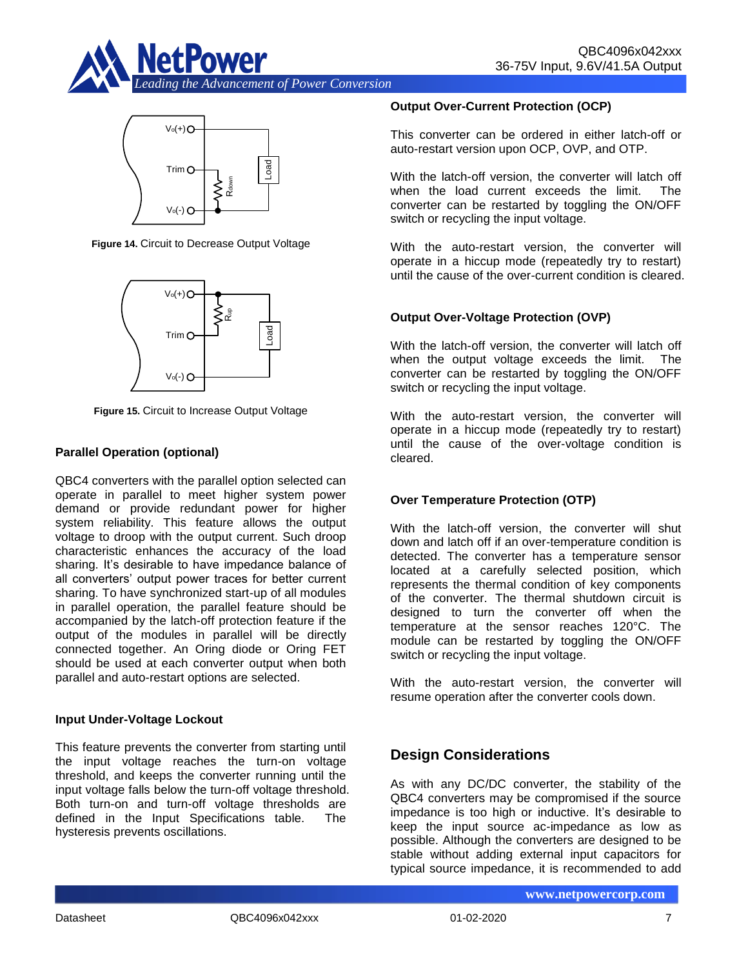



**Figure 14.** Circuit to Decrease Output Voltage



**Figure 15.** Circuit to Increase Output Voltage

## **Parallel Operation (optional)**

While the land-<br>
With the land-off version to condend in either has the matched three interests of the second in either the second in the top the second in the second interests of the second interests of the second interes QBC4 converters with the parallel option selected can operate in parallel to meet higher system power demand or provide redundant power for higher system reliability. This feature allows the output voltage to droop with the output current. Such droop characteristic enhances the accuracy of the load sharing. It's desirable to have impedance balance of all converters' output power traces for better current sharing. To have synchronized start-up of all modules in parallel operation, the parallel feature should be accompanied by the latch-off protection feature if the output of the modules in parallel will be directly connected together. An Oring diode or Oring FET should be used at each converter output when both parallel and auto-restart options are selected.

#### **Input Under-Voltage Lockout**

This feature prevents the converter from starting until the input voltage reaches the turn-on voltage threshold, and keeps the converter running until the input voltage falls below the turn-off voltage threshold. Both turn-on and turn-off voltage thresholds are defined in the Input Specifications table. The hysteresis prevents oscillations.

#### **Output Over-Current Protection (OCP)**

This converter can be ordered in either latch-off or auto-restart version upon OCP, OVP, and OTP.

With the latch-off version, the converter will latch off when the load current exceeds the limit. The converter can be restarted by toggling the ON/OFF switch or recycling the input voltage.

With the auto-restart version, the converter will operate in a hiccup mode (repeatedly try to restart) until the cause of the over-current condition is cleared.

## **Output Over-Voltage Protection (OVP)**

With the latch-off version, the converter will latch off when the output voltage exceeds the limit. The converter can be restarted by toggling the ON/OFF switch or recycling the input voltage.

With the auto-restart version, the converter will operate in a hiccup mode (repeatedly try to restart) until the cause of the over-voltage condition is cleared.

#### **Over Temperature Protection (OTP)**

With the latch-off version, the converter will shut down and latch off if an over-temperature condition is detected. The converter has a temperature sensor located at a carefully selected position, which represents the thermal condition of key components of the converter. The thermal shutdown circuit is designed to turn the converter off when the temperature at the sensor reaches 120°C. The module can be restarted by toggling the ON/OFF switch or recycling the input voltage.

With the auto-restart version, the converter will resume operation after the converter cools down.

# **Design Considerations**

As with any DC/DC converter, the stability of the QBC4 converters may be compromised if the source impedance is too high or inductive. It's desirable to keep the input source ac-impedance as low as possible. Although the converters are designed to be stable without adding external input capacitors for typical source impedance, it is recommended to add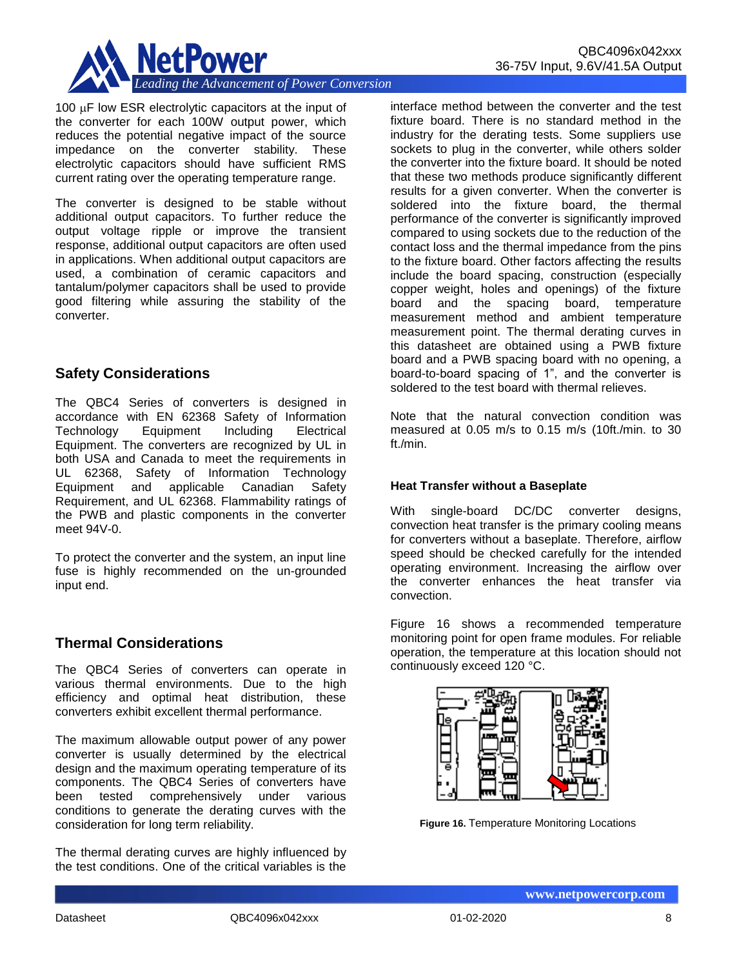

100  $\mu$ F low ESR electrolytic capacitors at the input of the converter for each 100W output power, which reduces the potential negative impact of the source impedance on the converter stability. These electrolytic capacitors should have sufficient RMS current rating over the operating temperature range.

The converter is designed to be stable without additional output capacitors. To further reduce the output voltage ripple or improve the transient response, additional output capacitors are often used in applications. When additional output capacitors are used, a combination of ceramic capacitors and tantalum/polymer capacitors shall be used to provide good filtering while assuring the stability of the converter.

# **Safety Considerations**

The QBC4 Series of converters is designed in accordance with EN 62368 Safety of Information Technology Equipment Including Electrical Equipment. The converters are recognized by UL in both USA and Canada to meet the requirements in UL 62368, Safety of Information Technology Equipment and applicable Canadian Safety Requirement, and UL 62368. Flammability ratings of the PWB and plastic components in the converter meet 94V-0.

To protect the converter and the system, an input line fuse is highly recommended on the un-grounded input end.

# **Thermal Considerations**

The QBC4 Series of converters can operate in various thermal environments. Due to the high efficiency and optimal heat distribution, these converters exhibit excellent thermal performance.

The maximum allowable output power of any power converter is usually determined by the electrical design and the maximum operating temperature of its components. The QBC4 Series of converters have been tested comprehensively under various conditions to generate the derating curves with the consideration for long term reliability.

The thermal derating curves are highly influenced by the test conditions. One of the critical variables is the

interface method between the converter and the test fixture board. There is no standard method in the industry for the derating tests. Some suppliers use sockets to plug in the converter, while others solder the converter into the fixture board. It should be noted that these two methods produce significantly different results for a given converter. When the converter is soldered into the fixture board, the thermal performance of the converter is significantly improved compared to using sockets due to the reduction of the contact loss and the thermal impedance from the pins to the fixture board. Other factors affecting the results include the board spacing, construction (especially copper weight, holes and openings) of the fixture board and the spacing board, temperature measurement method and ambient temperature measurement point. The thermal derating curves in this datasheet are obtained using a PWB fixture board and a PWB spacing board with no opening, a board-to-board spacing of 1", and the converter is soldered to the test board with thermal relieves.

Note that the natural convection condition was measured at 0.05 m/s to 0.15 m/s (10ft./min. to 30 ft./min.

#### **Heat Transfer without a Baseplate**

With single-board DC/DC converter designs, convection heat transfer is the primary cooling means for converters without a baseplate. Therefore, airflow speed should be checked carefully for the intended operating environment. Increasing the airflow over the converter enhances the heat transfer via convection.

Figure 16 shows a recommended temperature monitoring point for open frame modules. For reliable operation, the temperature at this location should not continuously exceed 120 °C.



**Figure 16.** Temperature Monitoring Locations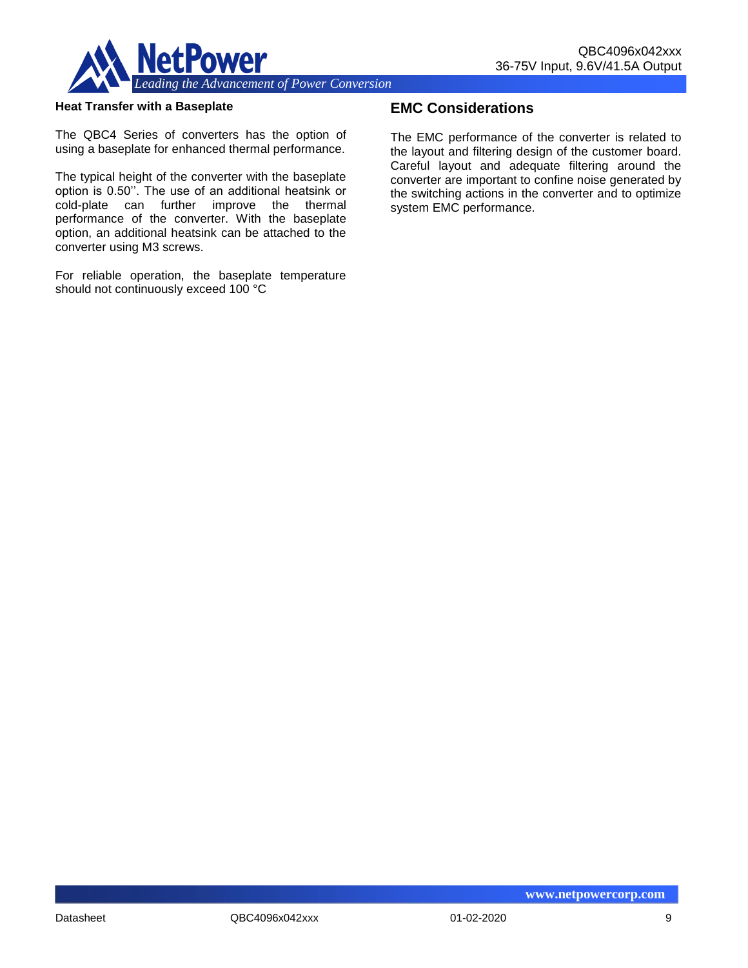

#### **Heat Transfer with a Baseplate**

The QBC4 Series of converters has the option of using a baseplate for enhanced thermal performance.

The typical height of the converter with the baseplate option is 0.50''. The use of an additional heatsink or cold-plate can further improve the thermal performance of the converter. With the baseplate option, an additional heatsink can be attached to the converter using M3 screws.

For reliable operation, the baseplate temperature should not continuously exceed 100 °C

# **EMC Considerations**

The EMC performance of the converter is related to the layout and filtering design of the customer board. Careful layout and adequate filtering around the converter are important to confine noise generated by the switching actions in the converter and to optimize system EMC performance.